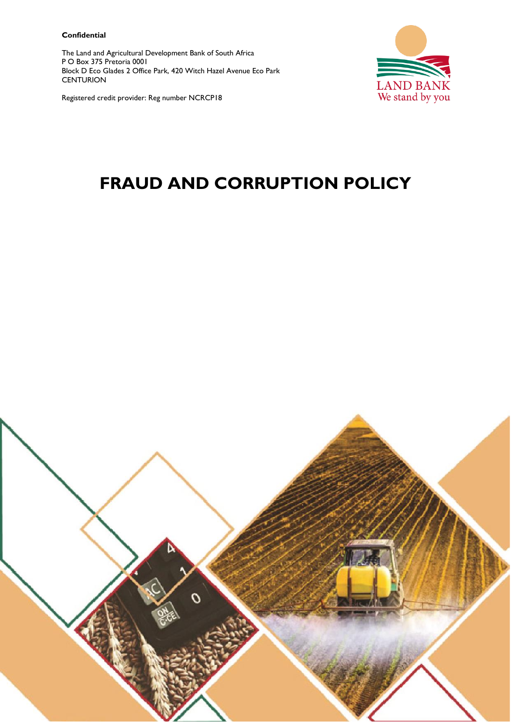#### **Confidential**

The Land and Agricultural Development Bank of South Africa P O Box 375 Pretoria 0001 Block D Eco Glades 2 Office Park, 420 Witch Hazel Avenue Eco Park **CENTURION** 



Registered credit provider: Reg number NCRCP18

# **FRAUD AND CORRUPTION POLICY**

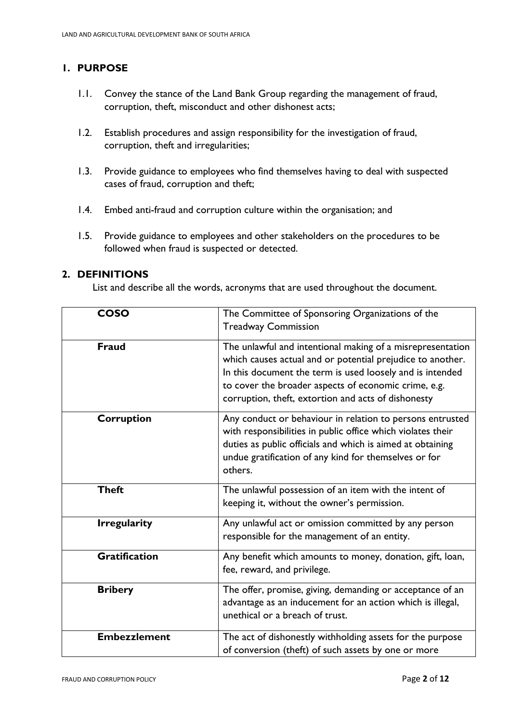# **1. PURPOSE**

- 1.1. Convey the stance of the Land Bank Group regarding the management of fraud, corruption, theft, misconduct and other dishonest acts;
- 1.2. Establish procedures and assign responsibility for the investigation of fraud, corruption, theft and irregularities;
- 1.3. Provide guidance to employees who find themselves having to deal with suspected cases of fraud, corruption and theft;
- 1.4. Embed anti-fraud and corruption culture within the organisation; and
- 1.5. Provide guidance to employees and other stakeholders on the procedures to be followed when fraud is suspected or detected.

## **2. DEFINITIONS**

List and describe all the words, acronyms that are used throughout the document.

| <b>COSO</b>          | The Committee of Sponsoring Organizations of the<br><b>Treadway Commission</b>                                                                                                                                                                                                                       |
|----------------------|------------------------------------------------------------------------------------------------------------------------------------------------------------------------------------------------------------------------------------------------------------------------------------------------------|
| <b>Fraud</b>         | The unlawful and intentional making of a misrepresentation<br>which causes actual and or potential prejudice to another.<br>In this document the term is used loosely and is intended<br>to cover the broader aspects of economic crime, e.g.<br>corruption, theft, extortion and acts of dishonesty |
| <b>Corruption</b>    | Any conduct or behaviour in relation to persons entrusted<br>with responsibilities in public office which violates their<br>duties as public officials and which is aimed at obtaining<br>undue gratification of any kind for themselves or for<br>others.                                           |
| <b>Theft</b>         | The unlawful possession of an item with the intent of<br>keeping it, without the owner's permission.                                                                                                                                                                                                 |
| <b>Irregularity</b>  | Any unlawful act or omission committed by any person<br>responsible for the management of an entity.                                                                                                                                                                                                 |
| <b>Gratification</b> | Any benefit which amounts to money, donation, gift, loan,<br>fee, reward, and privilege.                                                                                                                                                                                                             |
| <b>Bribery</b>       | The offer, promise, giving, demanding or acceptance of an<br>advantage as an inducement for an action which is illegal,<br>unethical or a breach of trust.                                                                                                                                           |
| <b>Embezzlement</b>  | The act of dishonestly withholding assets for the purpose<br>of conversion (theft) of such assets by one or more                                                                                                                                                                                     |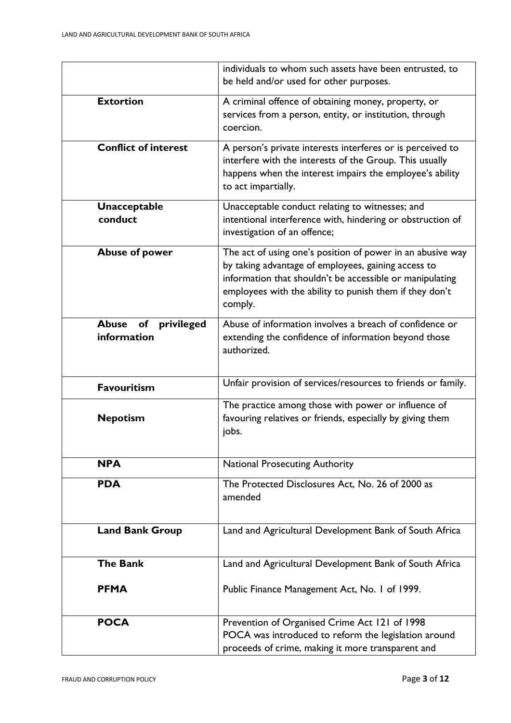|                                                 | individuals to whom such assets have been entrusted, to                                                                                                                                                                                             |
|-------------------------------------------------|-----------------------------------------------------------------------------------------------------------------------------------------------------------------------------------------------------------------------------------------------------|
|                                                 | be held and/or used for other purposes.                                                                                                                                                                                                             |
| <b>Extortion</b>                                | A criminal offence of obtaining money, property, or<br>services from a person, entity, or institution, through<br>coercion.                                                                                                                         |
| <b>Conflict of interest</b>                     | A person's private interests interferes or is perceived to<br>interfere with the interests of the Group. This usually<br>happens when the interest impairs the employee's ability<br>to act impartially.                                            |
| <b>Unacceptable</b><br>conduct                  | Unacceptable conduct relating to witnesses; and<br>intentional interference with, hindering or obstruction of<br>investigation of an offence;                                                                                                       |
| <b>Abuse of power</b>                           | The act of using one's position of power in an abusive way<br>by taking advantage of employees, gaining access to<br>information that shouldn't be accessible or manipulating<br>employees with the ability to punish them if they don't<br>comply. |
| <b>Abuse</b><br>of<br>privileged<br>information | Abuse of information involves a breach of confidence or<br>extending the confidence of information beyond those<br>authorized.                                                                                                                      |
| <b>Favouritism</b>                              | Unfair provision of services/resources to friends or family.                                                                                                                                                                                        |
| <b>Nepotism</b>                                 | The practice among those with power or influence of<br>favouring relatives or friends, especially by giving them<br>jobs.                                                                                                                           |
| <b>NPA</b>                                      | <b>National Prosecuting Authority</b>                                                                                                                                                                                                               |
| <b>PDA</b>                                      | The Protected Disclosures Act, No. 26 of 2000 as<br>amended                                                                                                                                                                                         |
| <b>Land Bank Group</b>                          | Land and Agricultural Development Bank of South Africa                                                                                                                                                                                              |
| <b>The Bank</b>                                 | Land and Agricultural Development Bank of South Africa                                                                                                                                                                                              |
| <b>PFMA</b>                                     | Public Finance Management Act, No. 1 of 1999.                                                                                                                                                                                                       |
| <b>POCA</b>                                     | Prevention of Organised Crime Act 121 of 1998<br>POCA was introduced to reform the legislation around<br>proceeds of crime, making it more transparent and                                                                                          |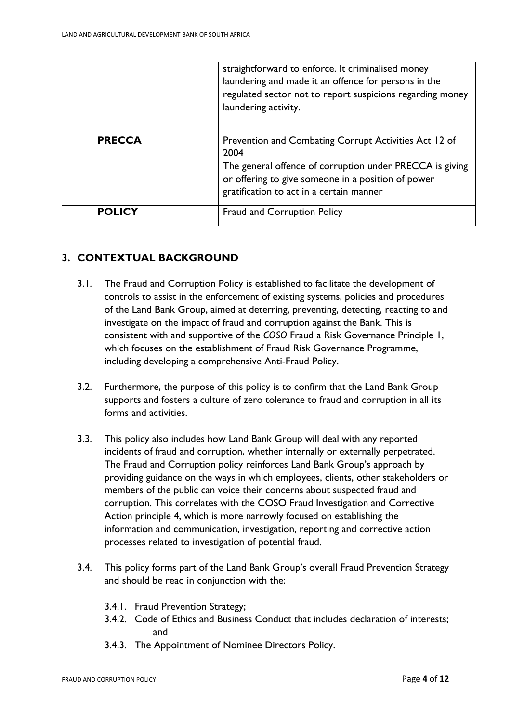|               | straightforward to enforce. It criminalised money<br>laundering and made it an offence for persons in the<br>regulated sector not to report suspicions regarding money<br>laundering activity.                              |
|---------------|-----------------------------------------------------------------------------------------------------------------------------------------------------------------------------------------------------------------------------|
| <b>PRECCA</b> | Prevention and Combating Corrupt Activities Act 12 of<br>2004<br>The general offence of corruption under PRECCA is giving<br>or offering to give someone in a position of power<br>gratification to act in a certain manner |
| <b>POLICY</b> | Fraud and Corruption Policy                                                                                                                                                                                                 |

## **3. CONTEXTUAL BACKGROUND**

- 3.1. The Fraud and Corruption Policy is established to facilitate the development of controls to assist in the enforcement of existing systems, policies and procedures of the Land Bank Group, aimed at deterring, preventing, detecting, reacting to and investigate on the impact of fraud and corruption against the Bank. This is consistent with and supportive of the *COSO* Fraud a Risk Governance Principle 1, which focuses on the establishment of Fraud Risk Governance Programme, including developing a comprehensive Anti-Fraud Policy.
- 3.2. Furthermore, the purpose of this policy is to confirm that the Land Bank Group supports and fosters a culture of zero tolerance to fraud and corruption in all its forms and activities.
- 3.3. This policy also includes how Land Bank Group will deal with any reported incidents of fraud and corruption, whether internally or externally perpetrated. The Fraud and Corruption policy reinforces Land Bank Group's approach by providing guidance on the ways in which employees, clients, other stakeholders or members of the public can voice their concerns about suspected fraud and corruption. This correlates with the COSO Fraud Investigation and Corrective Action principle 4, which is more narrowly focused on establishing the information and communication, investigation, reporting and corrective action processes related to investigation of potential fraud.
- 3.4. This policy forms part of the Land Bank Group's overall Fraud Prevention Strategy and should be read in conjunction with the:
	- 3.4.1. Fraud Prevention Strategy;
	- 3.4.2. Code of Ethics and Business Conduct that includes declaration of interests; and
	- 3.4.3. The Appointment of Nominee Directors Policy.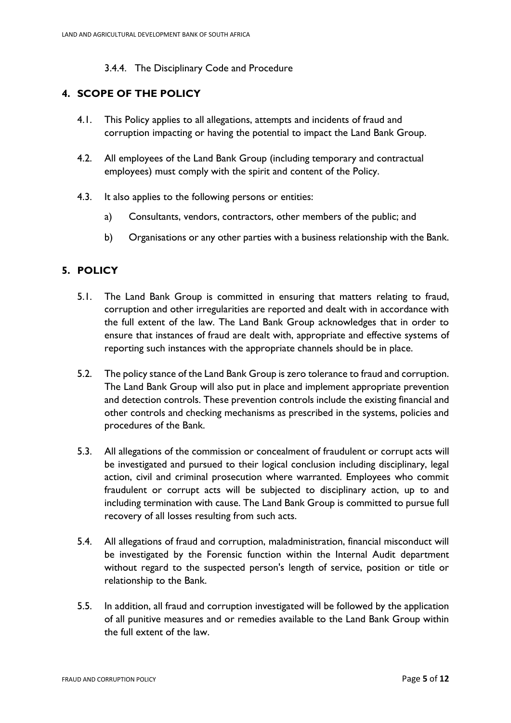#### 3.4.4. The Disciplinary Code and Procedure

## **4. SCOPE OF THE POLICY**

- 4.1. This Policy applies to all allegations, attempts and incidents of fraud and corruption impacting or having the potential to impact the Land Bank Group.
- 4.2. All employees of the Land Bank Group (including temporary and contractual employees) must comply with the spirit and content of the Policy.
- 4.3. It also applies to the following persons or entities:
	- a) Consultants, vendors, contractors, other members of the public; and
	- b) Organisations or any other parties with a business relationship with the Bank.

## **5. POLICY**

- 5.1. The Land Bank Group is committed in ensuring that matters relating to fraud, corruption and other irregularities are reported and dealt with in accordance with the full extent of the law. The Land Bank Group acknowledges that in order to ensure that instances of fraud are dealt with, appropriate and effective systems of reporting such instances with the appropriate channels should be in place.
- 5.2. The policy stance of the Land Bank Group is zero tolerance to fraud and corruption. The Land Bank Group will also put in place and implement appropriate prevention and detection controls. These prevention controls include the existing financial and other controls and checking mechanisms as prescribed in the systems, policies and procedures of the Bank.
- 5.3. All allegations of the commission or concealment of fraudulent or corrupt acts will be investigated and pursued to their logical conclusion including disciplinary, legal action, civil and criminal prosecution where warranted. Employees who commit fraudulent or corrupt acts will be subjected to disciplinary action, up to and including termination with cause. The Land Bank Group is committed to pursue full recovery of all losses resulting from such acts.
- 5.4. All allegations of fraud and corruption, maladministration, financial misconduct will be investigated by the Forensic function within the Internal Audit department without regard to the suspected person's length of service, position or title or relationship to the Bank.
- 5.5. In addition, all fraud and corruption investigated will be followed by the application of all punitive measures and or remedies available to the Land Bank Group within the full extent of the law.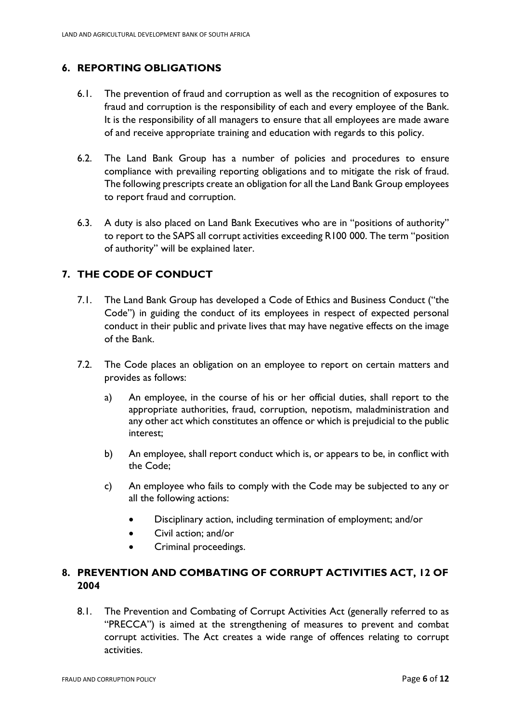# **6. REPORTING OBLIGATIONS**

- 6.1. The prevention of fraud and corruption as well as the recognition of exposures to fraud and corruption is the responsibility of each and every employee of the Bank. It is the responsibility of all managers to ensure that all employees are made aware of and receive appropriate training and education with regards to this policy.
- 6.2. The Land Bank Group has a number of policies and procedures to ensure compliance with prevailing reporting obligations and to mitigate the risk of fraud. The following prescripts create an obligation for all the Land Bank Group employees to report fraud and corruption.
- 6.3. A duty is also placed on Land Bank Executives who are in "positions of authority" to report to the SAPS all corrupt activities exceeding R100 000. The term "position of authority" will be explained later.

# **7. THE CODE OF CONDUCT**

- 7.1. The Land Bank Group has developed a Code of Ethics and Business Conduct ("the Code") in guiding the conduct of its employees in respect of expected personal conduct in their public and private lives that may have negative effects on the image of the Bank.
- 7.2. The Code places an obligation on an employee to report on certain matters and provides as follows:
	- a) An employee, in the course of his or her official duties, shall report to the appropriate authorities, fraud, corruption, nepotism, maladministration and any other act which constitutes an offence or which is prejudicial to the public interest;
	- b) An employee, shall report conduct which is, or appears to be, in conflict with the Code;
	- c) An employee who fails to comply with the Code may be subjected to any or all the following actions:
		- Disciplinary action, including termination of employment; and/or
		- Civil action; and/or
		- Criminal proceedings.

## **8. PREVENTION AND COMBATING OF CORRUPT ACTIVITIES ACT, 12 OF 2004**

8.1. The Prevention and Combating of Corrupt Activities Act (generally referred to as "PRECCA") is aimed at the strengthening of measures to prevent and combat corrupt activities. The Act creates a wide range of offences relating to corrupt activities.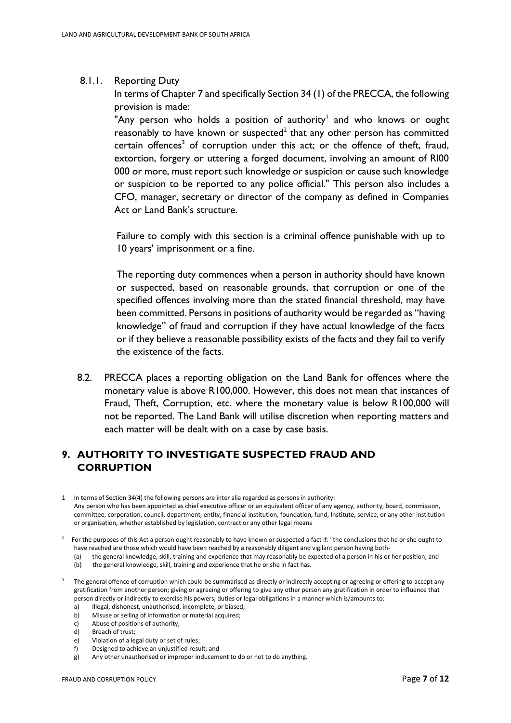#### 8.1.1. Reporting Duty

In terms of Chapter 7 and specifically Section 34 (1) of the PRECCA, the following provision is made:

"Any person who holds a position of authority<sup>1</sup> and who knows or ought reasonably to have known or suspected<sup>2</sup> that any other person has committed certain offences<sup>3</sup> of corruption under this act; or the offence of theft, fraud, extortion, forgery or uttering a forged document, involving an amount of Rl00 000 or more, must report such knowledge or suspicion or cause such knowledge or suspicion to be reported to any police official." This person also includes a CFO, manager, secretary or director of the company as defined in Companies Act or Land Bank's structure.

Failure to comply with this section is a criminal offence punishable with up to 10 years' imprisonment or a fine.

The reporting duty commences when a person in authority should have known or suspected, based on reasonable grounds, that corruption or one of the specified offences involving more than the stated financial threshold, may have been committed. Persons in positions of authority would be regarded as "having knowledge" of fraud and corruption if they have actual knowledge of the facts or if they believe a reasonable possibility exists of the facts and they fail to verify the existence of the facts.

8.2. PRECCA places a reporting obligation on the Land Bank for offences where the monetary value is above R100,000. However, this does not mean that instances of Fraud, Theft, Corruption, etc. where the monetary value is below R100,000 will not be reported. The Land Bank will utilise discretion when reporting matters and each matter will be dealt with on a case by case basis.

## **9. AUTHORITY TO INVESTIGATE SUSPECTED FRAUD AND CORRUPTION**

- c) Abuse of positions of authority;
- d) Breach of trust;
- e) Violation of a legal duty or set of rules;

<sup>1</sup> In terms of Section 34(4) the following persons are inter alia regarded as persons in authority: Any person who has been appointed as chief executive officer or an equivalent officer of any agency, authority, board, commission, committee, corporation, council, department, entity, financial institution, foundation, fund, Institute, service, or any other institution or organisation, whether established by legislation, contract or any other legal means

 $2$  For the purposes of this Act a person ought reasonably to have known or suspected a fact if: "the conclusions that he or she ought to have reached are those which would have been reached by a reasonably diligent and vigilant person having both-

<sup>(</sup>a) the general knowledge, skill, training and experience that may reasonably be expected of a person in his or her position; and

<sup>(</sup>b) the general knowledge, skill, training and experience that he or she in fact has.

<sup>&</sup>lt;sup>3</sup> The general offence of corruption which could be summarised as directly or indirectly accepting or agreeing or offering to accept any gratification from another person; giving or agreeing or offering to give any other person any gratification in order to influence that person directly or indirectly to exercise his powers, duties or legal obligations in a manner which is/amounts to:

a) Illegal, dishonest, unauthorised, incomplete, or biased;

b) Misuse or selling of information or material acquired;

f) Designed to achieve an unjustified result; and

g) Any other unauthorised or improper inducement to do or not to do anything.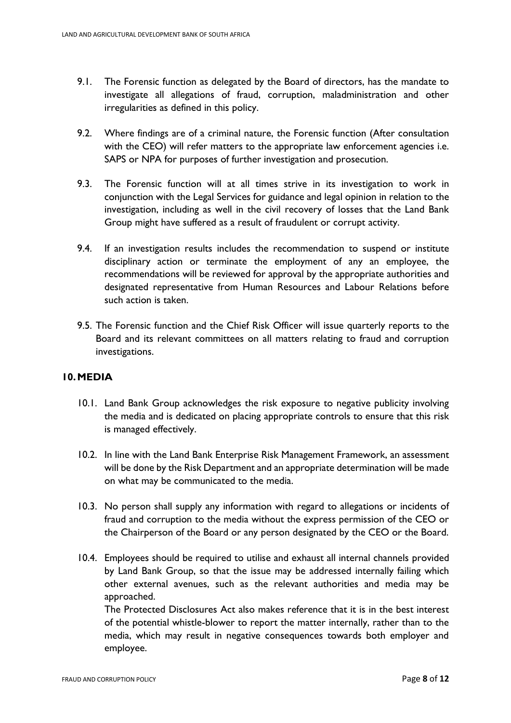- 9.1. The Forensic function as delegated by the Board of directors, has the mandate to investigate all allegations of fraud, corruption, maladministration and other irregularities as defined in this policy.
- 9.2. Where findings are of a criminal nature, the Forensic function (After consultation with the CEO) will refer matters to the appropriate law enforcement agencies i.e. SAPS or NPA for purposes of further investigation and prosecution.
- 9.3. The Forensic function will at all times strive in its investigation to work in conjunction with the Legal Services for guidance and legal opinion in relation to the investigation, including as well in the civil recovery of losses that the Land Bank Group might have suffered as a result of fraudulent or corrupt activity.
- 9.4. If an investigation results includes the recommendation to suspend or institute disciplinary action or terminate the employment of any an employee, the recommendations will be reviewed for approval by the appropriate authorities and designated representative from Human Resources and Labour Relations before such action is taken.
- 9.5. The Forensic function and the Chief Risk Officer will issue quarterly reports to the Board and its relevant committees on all matters relating to fraud and corruption investigations.

#### **10.MEDIA**

- 10.1. Land Bank Group acknowledges the risk exposure to negative publicity involving the media and is dedicated on placing appropriate controls to ensure that this risk is managed effectively.
- 10.2. In line with the Land Bank Enterprise Risk Management Framework, an assessment will be done by the Risk Department and an appropriate determination will be made on what may be communicated to the media.
- 10.3. No person shall supply any information with regard to allegations or incidents of fraud and corruption to the media without the express permission of the CEO or the Chairperson of the Board or any person designated by the CEO or the Board.
- 10.4. Employees should be required to utilise and exhaust all internal channels provided by Land Bank Group, so that the issue may be addressed internally failing which other external avenues, such as the relevant authorities and media may be approached.

The Protected Disclosures Act also makes reference that it is in the best interest of the potential whistle-blower to report the matter internally, rather than to the media, which may result in negative consequences towards both employer and employee.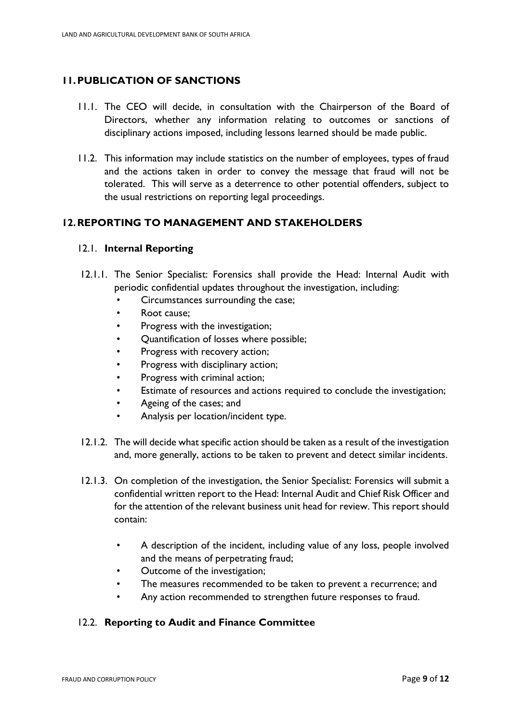# **11.PUBLICATION OF SANCTIONS**

- 11.1. The CEO will decide, in consultation with the Chairperson of the Board of Directors, whether any information relating to outcomes or sanctions of disciplinary actions imposed, including lessons learned should be made public.
- 11.2. This information may include statistics on the number of employees, types of fraud and the actions taken in order to convey the message that fraud will not be tolerated. This will serve as a deterrence to other potential offenders, subject to the usual restrictions on reporting legal proceedings.

## **12.REPORTING TO MANAGEMENT AND STAKEHOLDERS**

#### 12.1. **Internal Reporting**

- 12.1.1. The Senior Specialist: Forensics shall provide the Head: Internal Audit with periodic confidential updates throughout the investigation, including:
	- Circumstances surrounding the case;
	- Root cause;
	- Progress with the investigation;
	- Quantification of losses where possible;
	- Progress with recovery action;
	- Progress with disciplinary action;
	- Progress with criminal action;
	- Estimate of resources and actions required to conclude the investigation;
	- Ageing of the cases; and
	- Analysis per location/incident type.
- 12.1.2. The will decide what specific action should be taken as a result of the investigation and, more generally, actions to be taken to prevent and detect similar incidents.
- 12.1.3. On completion of the investigation, the Senior Specialist: Forensics will submit a confidential written report to the Head: Internal Audit and Chief Risk Officer and for the attention of the relevant business unit head for review. This report should contain:
	- A description of the incident, including value of any loss, people involved and the means of perpetrating fraud;
	- Outcome of the investigation;
	- The measures recommended to be taken to prevent a recurrence; and
	- Any action recommended to strengthen future responses to fraud.

## 12.2. **Reporting to Audit and Finance Committee**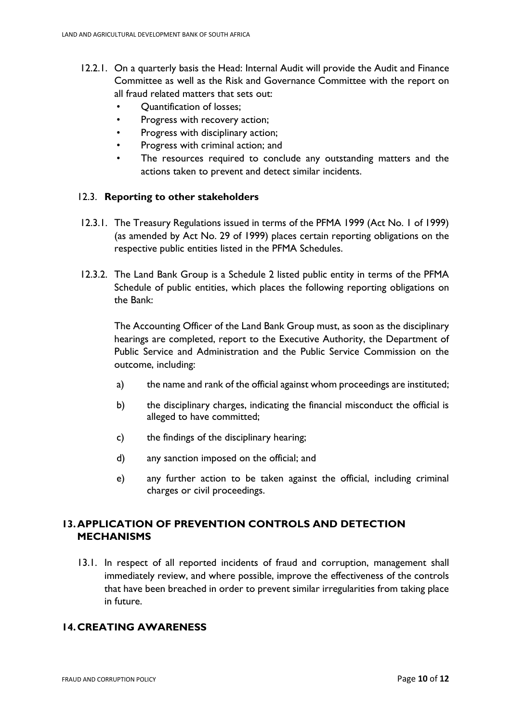- 12.2.1. On a quarterly basis the Head: Internal Audit will provide the Audit and Finance Committee as well as the Risk and Governance Committee with the report on all fraud related matters that sets out:
	- Quantification of losses;
	- Progress with recovery action;
	- Progress with disciplinary action;
	- Progress with criminal action; and
	- The resources required to conclude any outstanding matters and the actions taken to prevent and detect similar incidents.

#### 12.3. **Reporting to other stakeholders**

- 12.3.1. The Treasury Regulations issued in terms of the PFMA 1999 (Act No. 1 of 1999) (as amended by Act No. 29 of 1999) places certain reporting obligations on the respective public entities listed in the PFMA Schedules.
- 12.3.2. The Land Bank Group is a Schedule 2 listed public entity in terms of the PFMA Schedule of public entities, which places the following reporting obligations on the Bank:

The Accounting Officer of the Land Bank Group must, as soon as the disciplinary hearings are completed, report to the Executive Authority, the Department of Public Service and Administration and the Public Service Commission on the outcome, including:

- a) the name and rank of the official against whom proceedings are instituted;
- b) the disciplinary charges, indicating the financial misconduct the official is alleged to have committed;
- c) the findings of the disciplinary hearing;
- d) any sanction imposed on the official; and
- e) any further action to be taken against the official, including criminal charges or civil proceedings.

## **13.APPLICATION OF PREVENTION CONTROLS AND DETECTION MECHANISMS**

13.1. In respect of all reported incidents of fraud and corruption, management shall immediately review, and where possible, improve the effectiveness of the controls that have been breached in order to prevent similar irregularities from taking place in future.

## **14.CREATING AWARENESS**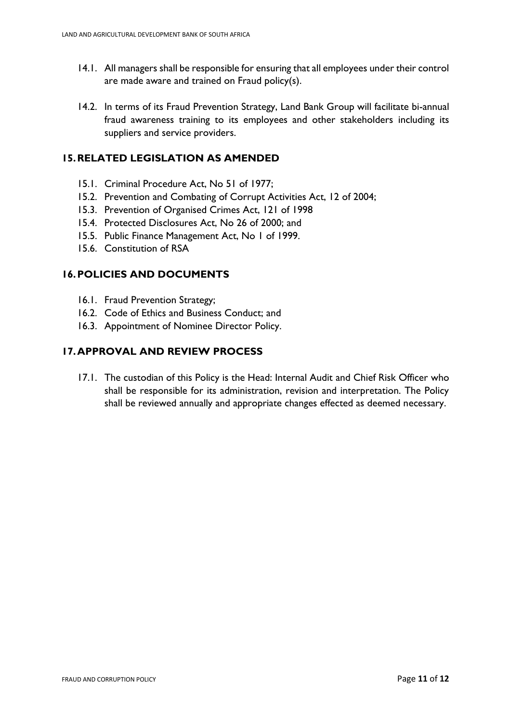- 14.1. All managers shall be responsible for ensuring that all employees under their control are made aware and trained on Fraud policy(s).
- 14.2. In terms of its Fraud Prevention Strategy, Land Bank Group will facilitate bi-annual fraud awareness training to its employees and other stakeholders including its suppliers and service providers.

## **15.RELATED LEGISLATION AS AMENDED**

- 15.1. Criminal Procedure Act, No 51 of 1977;
- 15.2. Prevention and Combating of Corrupt Activities Act, 12 of 2004;
- 15.3. Prevention of Organised Crimes Act, 121 of 1998
- 15.4. Protected Disclosures Act, No 26 of 2000; and
- 15.5. Public Finance Management Act, No 1 of 1999.
- 15.6. Constitution of RSA

## **16.POLICIES AND DOCUMENTS**

- 16.1. Fraud Prevention Strategy;
- 16.2. Code of Ethics and Business Conduct; and
- 16.3. Appointment of Nominee Director Policy.

## **17.APPROVAL AND REVIEW PROCESS**

17.1. The custodian of this Policy is the Head: Internal Audit and Chief Risk Officer who shall be responsible for its administration, revision and interpretation. The Policy shall be reviewed annually and appropriate changes effected as deemed necessary.